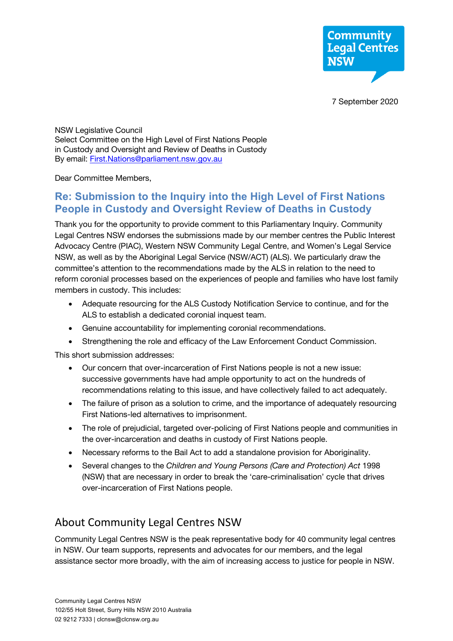

NSW Legislative Council Select Committee on the High Level of First Nations People in Custody and Oversight and Review of Deaths in Custody By email: **First.Nations@parliament.nsw.gov.au** 

Dear Committee Members,

## **Re: Submission to the Inquiry into the High Level of First Nations People in Custody and Oversight Review of Deaths in Custody**

Thank you for the opportunity to provide comment to this Parliamentary Inquiry. Community Legal Centres NSW endorses the submissions made by our member centres the Public Interest Advocacy Centre (PIAC), Western NSW Community Legal Centre, and Women's Legal Service NSW, as well as by the Aboriginal Legal Service (NSW/ACT) (ALS). We particularly draw the committee's attention to the recommendations made by the ALS in relation to the need to reform coronial processes based on the experiences of people and families who have lost family members in custody. This includes:

- Adequate resourcing for the ALS Custody Notification Service to continue, and for the ALS to establish a dedicated coronial inquest team.
- Genuine accountability for implementing coronial recommendations.
- Strengthening the role and efficacy of the Law Enforcement Conduct Commission.

This short submission addresses:

- Our concern that over-incarceration of First Nations people is not a new issue: successive governments have had ample opportunity to act on the hundreds of recommendations relating to this issue, and have collectively failed to act adequately.
- The failure of prison as a solution to crime, and the importance of adequately resourcing First Nations-led alternatives to imprisonment.
- The role of prejudicial, targeted over-policing of First Nations people and communities in the over-incarceration and deaths in custody of First Nations people.
- Necessary reforms to the Bail Act to add a standalone provision for Aboriginality.
- Several changes to the *Children and Young Persons (Care and Protection) Act* 1998 (NSW) that are necessary in order to break the 'care-criminalisation' cycle that drives over-incarceration of First Nations people.

# About Community Legal Centres NSW

Community Legal Centres NSW is the peak representative body for 40 community legal centres in NSW. Our team supports, represents and advocates for our members, and the legal assistance sector more broadly, with the aim of increasing access to justice for people in NSW.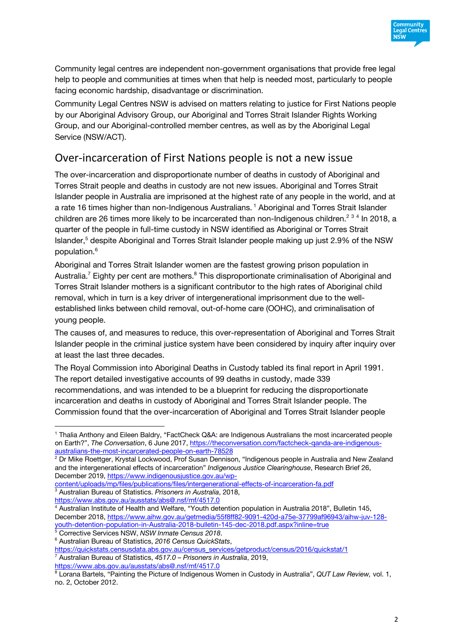

Community legal centres are independent non-government organisations that provide free legal help to people and communities at times when that help is needed most, particularly to people facing economic hardship, disadvantage or discrimination.

Community Legal Centres NSW is advised on matters relating to justice for First Nations people by our Aboriginal Advisory Group, our Aboriginal and Torres Strait Islander Rights Working Group, and our Aboriginal-controlled member centres, as well as by the Aboriginal Legal Service (NSW/ACT).

## Over-incarceration of First Nations people is not a new issue

The over-incarceration and disproportionate number of deaths in custody of Aboriginal and Torres Strait people and deaths in custody are not new issues. Aboriginal and Torres Strait Islander people in Australia are imprisoned at the highest rate of any people in the world, and at a rate 16 times higher than non-Indigenous Australians. <sup>1</sup> Aboriginal and Torres Strait Islander children are 26 times more likely to be incarcerated than non-Indigenous children.<sup>2 3 4</sup> In 2018, a quarter of the people in full-time custody in NSW identified as Aboriginal or Torres Strait Islander,<sup>5</sup> despite Aboriginal and Torres Strait Islander people making up just 2.9% of the NSW population.6

Aboriginal and Torres Strait Islander women are the fastest growing prison population in Australia.<sup>7</sup> Eighty per cent are mothers.<sup>8</sup> This disproportionate criminalisation of Aboriginal and Torres Strait Islander mothers is a significant contributor to the high rates of Aboriginal child removal, which in turn is a key driver of intergenerational imprisonment due to the wellestablished links between child removal, out-of-home care (OOHC), and criminalisation of young people.

The causes of, and measures to reduce, this over-representation of Aboriginal and Torres Strait Islander people in the criminal justice system have been considered by inquiry after inquiry over at least the last three decades.

The Royal Commission into Aboriginal Deaths in Custody tabled its final report in April 1991. The report detailed investigative accounts of 99 deaths in custody, made 339 recommendations, and was intended to be a blueprint for reducing the disproportionate incarceration and deaths in custody of Aboriginal and Torres Strait Islander people. The Commission found that the over-incarceration of Aboriginal and Torres Strait Islander people

<sup>1</sup> Thalia Anthony and Eileen Baldry, "FactCheck Q&A: are Indigenous Australians the most incarcerated people on Earth?", *The Conversation*, 6 June 2017, https://theconversation.com/factcheck-qanda-are-indigenousaustralians-the-most-incarcerated-people-on-earth-78528

<sup>2</sup> Dr Mike Roettger, Krystal Lockwood, Prof Susan Dennison, "Indigenous people in Australia and New Zealand and the intergenerational effects of incarceration" *Indigenous Justice Clearinghouse*, Research Brief 26, December 2019, https://www.indigenousjustice.gov.au/wp-

content/uploads/mp/files/publications/files/intergenerational-effects-of-incarceration-fa.pdf <sup>3</sup> Australian Bureau of Statistics. *Prisoners in Australia*, 2018, https://www.abs.gov.au/ausstats/abs@.nsf/mf/4517.0

<sup>4</sup> Australian Institute of Health and Welfare, "Youth detention population in Australia 2018", Bulletin 145, December 2018, https://www.aihw.gov.au/getmedia/55f8ff82-9091-420d-a75e-37799af96943/aihw-juv-128 youth-detention-population-in-Australia-2018-bulletin-145-dec-2018.pdf.aspx?inline=true <sup>5</sup> Corrective Services NSW, *NSW Inmate Census 2018*.

<sup>6</sup> Australian Bureau of Statistics, *2016 Census QuickStats*,

https://quickstats.censusdata.abs.gov.au/census\_services/getproduct/census/2016/quickstat/1 <sup>7</sup> Australian Bureau of Statistics, *4517.0 – Prisoners in Australia*, 2019, https://www.abs.gov.au/ausstats/abs@.nsf/mf/4517.0

<sup>8</sup> Lorana Bartels, "Painting the Picture of Indigenous Women in Custody in Australia", *QUT Law Review,* vol. 1, no. 2, October 2012.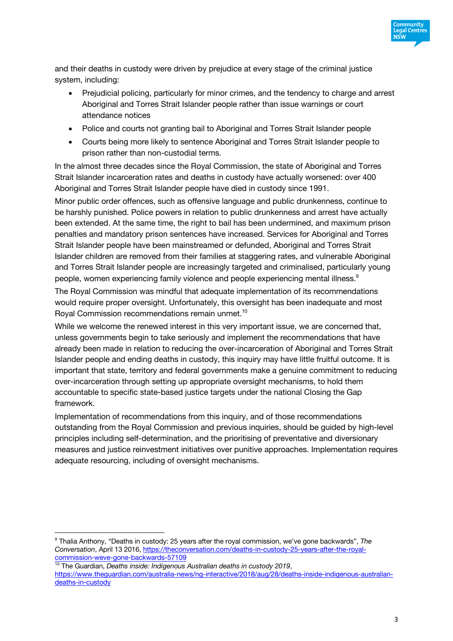

and their deaths in custody were driven by prejudice at every stage of the criminal justice system, including:

- Prejudicial policing, particularly for minor crimes, and the tendency to charge and arrest Aboriginal and Torres Strait Islander people rather than issue warnings or court attendance notices
- Police and courts not granting bail to Aboriginal and Torres Strait Islander people
- Courts being more likely to sentence Aboriginal and Torres Strait Islander people to prison rather than non-custodial terms.

In the almost three decades since the Royal Commission, the state of Aboriginal and Torres Strait Islander incarceration rates and deaths in custody have actually worsened: over 400 Aboriginal and Torres Strait Islander people have died in custody since 1991.

Minor public order offences, such as offensive language and public drunkenness, continue to be harshly punished. Police powers in relation to public drunkenness and arrest have actually been extended. At the same time, the right to bail has been undermined, and maximum prison penalties and mandatory prison sentences have increased. Services for Aboriginal and Torres Strait Islander people have been mainstreamed or defunded, Aboriginal and Torres Strait Islander children are removed from their families at staggering rates, and vulnerable Aboriginal and Torres Strait Islander people are increasingly targeted and criminalised, particularly young people, women experiencing family violence and people experiencing mental illness.<sup>9</sup>

The Royal Commission was mindful that adequate implementation of its recommendations would require proper oversight. Unfortunately, this oversight has been inadequate and most Royal Commission recommendations remain unmet.10

While we welcome the renewed interest in this very important issue, we are concerned that, unless governments begin to take seriously and implement the recommendations that have already been made in relation to reducing the over-incarceration of Aboriginal and Torres Strait Islander people and ending deaths in custody, this inquiry may have little fruitful outcome. It is important that state, territory and federal governments make a genuine commitment to reducing over-incarceration through setting up appropriate oversight mechanisms, to hold them accountable to specific state-based justice targets under the national Closing the Gap framework.

Implementation of recommendations from this inquiry, and of those recommendations outstanding from the Royal Commission and previous inquiries, should be guided by high-level principles including self-determination, and the prioritising of preventative and diversionary measures and justice reinvestment initiatives over punitive approaches. Implementation requires adequate resourcing, including of oversight mechanisms.

<sup>9</sup> Thalia Anthony, "Deaths in custody: 25 years after the royal commission, we've gone backwards", *The Conversation*, April 13 2016, https://theconversation.com/deaths-in-custody-25-years-after-the-royalcommission-weve-gone-backwards-57109

<sup>10</sup> The Guardian, *Deaths inside: Indigenous Australian deaths in custody 2019*, https://www.theguardian.com/australia-news/ng-interactive/2018/aug/28/deaths-inside-indigenous-australiandeaths-in-custody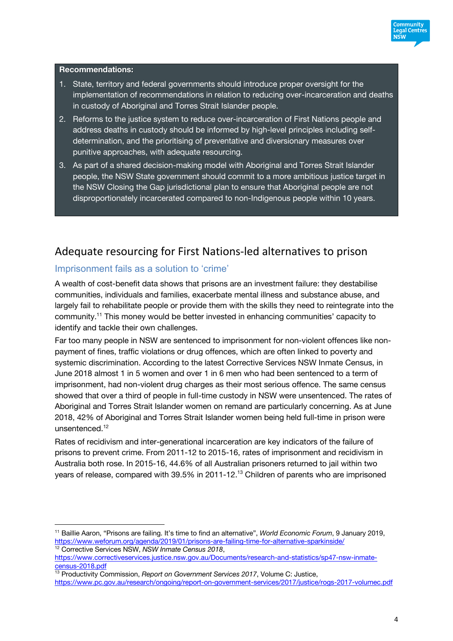

#### **Recommendations:**

- 1. State, territory and federal governments should introduce proper oversight for the implementation of recommendations in relation to reducing over-incarceration and deaths in custody of Aboriginal and Torres Strait Islander people.
- 2. Reforms to the justice system to reduce over-incarceration of First Nations people and address deaths in custody should be informed by high-level principles including selfdetermination, and the prioritising of preventative and diversionary measures over punitive approaches, with adequate resourcing.
- 3. As part of a shared decision-making model with Aboriginal and Torres Strait Islander people, the NSW State government should commit to a more ambitious justice target in the NSW Closing the Gap jurisdictional plan to ensure that Aboriginal people are not disproportionately incarcerated compared to non-Indigenous people within 10 years.

## Adequate resourcing for First Nations-led alternatives to prison

### Imprisonment fails as a solution to 'crime'

A wealth of cost-benefit data shows that prisons are an investment failure: they destabilise communities, individuals and families, exacerbate mental illness and substance abuse, and largely fail to rehabilitate people or provide them with the skills they need to reintegrate into the community.11 This money would be better invested in enhancing communities' capacity to identify and tackle their own challenges.

Far too many people in NSW are sentenced to imprisonment for non-violent offences like nonpayment of fines, traffic violations or drug offences, which are often linked to poverty and systemic discrimination. According to the latest Corrective Services NSW Inmate Census, in June 2018 almost 1 in 5 women and over 1 in 6 men who had been sentenced to a term of imprisonment, had non-violent drug charges as their most serious offence. The same census showed that over a third of people in full-time custody in NSW were unsentenced. The rates of Aboriginal and Torres Strait Islander women on remand are particularly concerning. As at June 2018, 42% of Aboriginal and Torres Strait Islander women being held full-time in prison were unsentenced.<sup>12</sup>

Rates of recidivism and inter-generational incarceration are key indicators of the failure of prisons to prevent crime. From 2011-12 to 2015-16, rates of imprisonment and recidivism in Australia both rose. In 2015-16, 44.6% of all Australian prisoners returned to jail within two years of release, compared with 39.5% in 2011-12.13 Children of parents who are imprisoned

<sup>11</sup> Baillie Aaron, "Prisons are failing. It's time to find an alternative", *World Economic Forum*, 9 January 2019, https://www.weforum.org/agenda/2019/01/prisons-are-failing-time-for-alternative-sparkinside/ <sup>12</sup> Corrective Services NSW, *NSW Inmate Census 2018*,

https://www.correctiveservices.justice.nsw.gov.au/Documents/research-and-statistics/sp47-nsw-inmatecensus-2018.pdf

<sup>&</sup>lt;sup>13</sup> Productivity Commission, Report on Government Services 2017, Volume C: Justice, https://www.pc.gov.au/research/ongoing/report-on-government-services/2017/justice/rogs-2017-volumec.pdf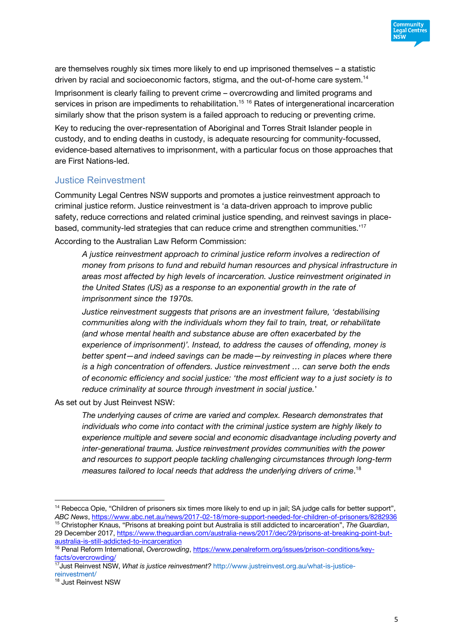

are themselves roughly six times more likely to end up imprisoned themselves – a statistic driven by racial and socioeconomic factors, stigma, and the out-of-home care system.14

Imprisonment is clearly failing to prevent crime – overcrowding and limited programs and services in prison are impediments to rehabilitation.<sup>15 16</sup> Rates of intergenerational incarceration similarly show that the prison system is a failed approach to reducing or preventing crime.

Key to reducing the over-representation of Aboriginal and Torres Strait Islander people in custody, and to ending deaths in custody, is adequate resourcing for community-focussed, evidence-based alternatives to imprisonment, with a particular focus on those approaches that are First Nations-led.

### Justice Reinvestment

Community Legal Centres NSW supports and promotes a justice reinvestment approach to criminal justice reform. Justice reinvestment is 'a data-driven approach to improve public safety, reduce corrections and related criminal justice spending, and reinvest savings in placebased, community-led strategies that can reduce crime and strengthen communities.'17 According to the Australian Law Reform Commission:

*A justice reinvestment approach to criminal justice reform involves a redirection of money from prisons to fund and rebuild human resources and physical infrastructure in areas most affected by high levels of incarceration. Justice reinvestment originated in the United States (US) as a response to an exponential growth in the rate of imprisonment since the 1970s.*

*Justice reinvestment suggests that prisons are an investment failure, 'destabilising communities along with the individuals whom they fail to train, treat, or rehabilitate (and whose mental health and substance abuse are often exacerbated by the experience of imprisonment)'. Instead, to address the causes of offending, money is better spent—and indeed savings can be made—by reinvesting in places where there is a high concentration of offenders. Justice reinvestment … can serve both the ends of economic efficiency and social justice: 'the most efficient way to a just society is to reduce criminality at source through investment in social justice.*'

As set out by Just Reinvest NSW:

*The underlying causes of crime are varied and complex. Research demonstrates that individuals who come into contact with the criminal justice system are highly likely to experience multiple and severe social and economic disadvantage including poverty and inter-generational trauma. Justice reinvestment provides communities with the power and resources to support people tackling challenging circumstances through long-term measures tailored to local needs that address the underlying drivers of crime*. 18

<sup>&</sup>lt;sup>14</sup> Rebecca Opie, "Children of prisoners six times more likely to end up in jail; SA judge calls for better support", *ABC News*, https://www.abc.net.au/news/2017-02-18/more-support-needed-for-children-of-prisoners/8282936

<sup>15</sup> Christopher Knaus, "Prisons at breaking point but Australia is still addicted to incarceration", *The Guardian*, 29 December 2017, https://www.theguardian.com/australia-news/2017/dec/29/prisons-at-breaking-point-butaustralia-is-still-addicted-to-incarceration

<sup>16</sup> Penal Reform International, *Overcrowding*, https://www.penalreform.org/issues/prison-conditions/keyfacts/overcrowding/

<sup>17</sup>Just Reinvest NSW, *What is justice reinvestment?* http://www.justreinvest.org.au/what-is-justicereinvestment/

<sup>18</sup> Just Reinvest NSW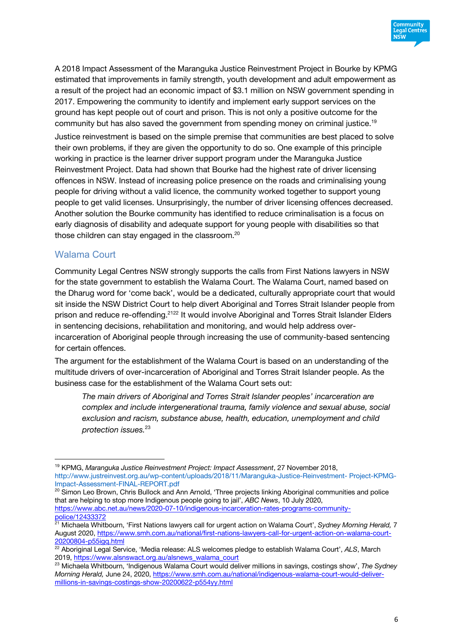

A 2018 Impact Assessment of the Maranguka Justice Reinvestment Project in Bourke by KPMG estimated that improvements in family strength, youth development and adult empowerment as a result of the project had an economic impact of \$3.1 million on NSW government spending in 2017. Empowering the community to identify and implement early support services on the ground has kept people out of court and prison. This is not only a positive outcome for the community but has also saved the government from spending money on criminal justice.<sup>19</sup> Justice reinvestment is based on the simple premise that communities are best placed to solve their own problems, if they are given the opportunity to do so. One example of this principle working in practice is the learner driver support program under the Maranguka Justice Reinvestment Project. Data had shown that Bourke had the highest rate of driver licensing offences in NSW. Instead of increasing police presence on the roads and criminalising young people for driving without a valid licence, the community worked together to support young people to get valid licenses. Unsurprisingly, the number of driver licensing offences decreased. Another solution the Bourke community has identified to reduce criminalisation is a focus on early diagnosis of disability and adequate support for young people with disabilities so that those children can stay engaged in the classroom.20

### Walama Court

Community Legal Centres NSW strongly supports the calls from First Nations lawyers in NSW for the state government to establish the Walama Court. The Walama Court, named based on the Dharug word for 'come back', would be a dedicated, culturally appropriate court that would sit inside the NSW District Court to help divert Aboriginal and Torres Strait Islander people from prison and reduce re-offending.<sup>2122</sup> It would involve Aboriginal and Torres Strait Islander Elders in sentencing decisions, rehabilitation and monitoring, and would help address overincarceration of Aboriginal people through increasing the use of community-based sentencing for certain offences.

The argument for the establishment of the Walama Court is based on an understanding of the multitude drivers of over-incarceration of Aboriginal and Torres Strait Islander people. As the business case for the establishment of the Walama Court sets out:

*The main drivers of Aboriginal and Torres Strait Islander peoples' incarceration are complex and include intergenerational trauma, family violence and sexual abuse, social exclusion and racism, substance abuse, health, education, unemployment and child protection issues.*<sup>23</sup>

<sup>20</sup> Simon Leo Brown, Chris Bullock and Ann Arnold, 'Three projects linking Aboriginal communities and police that are helping to stop more Indigenous people going to jail', *ABC News*, 10 July 2020, https://www.abc.net.au/news/2020-07-10/indigenous-incarceration-rates-programs-communitypolice/12433372

<sup>19</sup> KPMG, *Maranguka Justice Reinvestment Project: Impact Assessment*, 27 November 2018, http://www.justreinvest.org.au/wp-content/uploads/2018/11/Maranguka-Justice-Reinvestment- Project-KPMG-

<sup>21</sup> Michaela Whitbourn, 'First Nations lawyers call for urgent action on Walama Court', *Sydney Morning Herald,* 7 August 2020, https://www.smh.com.au/national/first-nations-lawyers-call-for-urgent-action-on-walama-court-20200804-p55igq.html

<sup>22</sup> Aboriginal Legal Service, 'Media release: ALS welcomes pledge to establish Walama Court', *ALS*, March 2019, https://www.alsnswact.org.au/alsnews\_walama\_court

<sup>23</sup> Michaela Whitbourn, 'Indigenous Walama Court would deliver millions in savings, costings show', *The Sydney Morning Herald,* June 24, 2020, https://www.smh.com.au/national/indigenous-walama-court-would-delivermillions-in-savings-costings-show-20200622-p554yy.html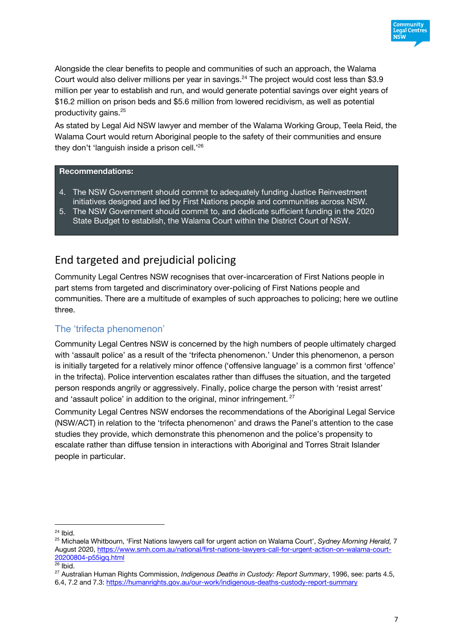

Alongside the clear benefits to people and communities of such an approach, the Walama Court would also deliver millions per year in savings.<sup>24</sup> The project would cost less than \$3.9 million per year to establish and run, and would generate potential savings over eight years of \$16.2 million on prison beds and \$5.6 million from lowered recidivism, as well as potential productivity gains.<sup>25</sup>

As stated by Legal Aid NSW lawyer and member of the Walama Working Group, Teela Reid, the Walama Court would return Aboriginal people to the safety of their communities and ensure they don't 'languish inside a prison cell.' 26

### **Recommendations:**

- 4. The NSW Government should commit to adequately funding Justice Reinvestment initiatives designed and led by First Nations people and communities across NSW.
- 5. The NSW Government should commit to, and dedicate sufficient funding in the 2020 State Budget to establish, the Walama Court within the District Court of NSW.

# End targeted and prejudicial policing

Community Legal Centres NSW recognises that over-incarceration of First Nations people in part stems from targeted and discriminatory over-policing of First Nations people and communities. There are a multitude of examples of such approaches to policing; here we outline three.

### The 'trifecta phenomenon'

Community Legal Centres NSW is concerned by the high numbers of people ultimately charged with 'assault police' as a result of the 'trifecta phenomenon.' Under this phenomenon, a person is initially targeted for a relatively minor offence ('offensive language' is a common first 'offence' in the trifecta). Police intervention escalates rather than diffuses the situation, and the targeted person responds angrily or aggressively. Finally, police charge the person with 'resist arrest' and 'assault police' in addition to the original, minor infringement.<sup>27</sup>

Community Legal Centres NSW endorses the recommendations of the Aboriginal Legal Service (NSW/ACT) in relation to the 'trifecta phenomenon' and draws the Panel's attention to the case studies they provide, which demonstrate this phenomenon and the police's propensity to escalate rather than diffuse tension in interactions with Aboriginal and Torres Strait Islander people in particular.

 $24$  Ibid.

<sup>25</sup> Michaela Whitbourn, 'First Nations lawyers call for urgent action on Walama Court', *Sydney Morning Herald,* 7 August 2020, https://www.smh.com.au/national/first-nations-lawyers-call-for-urgent-action-on-walama-court-20200804-p55igq.html

 $26$  Ibid.

<sup>27</sup> Australian Human Rights Commission, *Indigenous Deaths in Custody: Report Summary*, 1996, see: parts 4.5, 6.4, 7.2 and 7.3: https://humanrights.gov.au/our-work/indigenous-deaths-custody-report-summary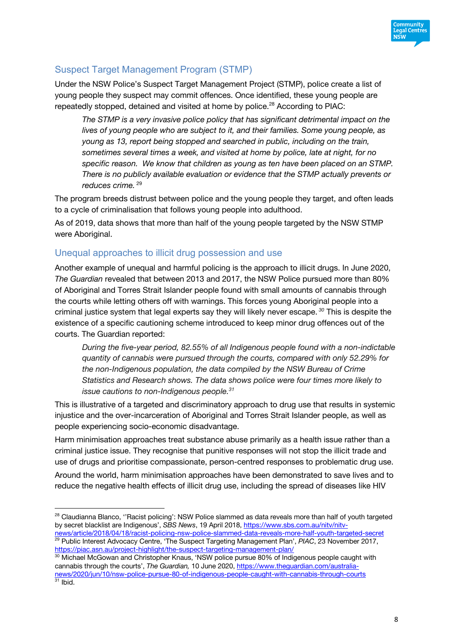

## Suspect Target Management Program (STMP)

Under the NSW Police's Suspect Target Management Project (STMP), police create a list of young people they suspect may commit offences. Once identified, these young people are repeatedly stopped, detained and visited at home by police.<sup>28</sup> According to PIAC:

*The STMP is a very invasive police policy that has significant detrimental impact on the lives of young people who are subject to it, and their families. Some young people, as young as 13, report being stopped and searched in public, including on the train, sometimes several times a week, and visited at home by police, late at night, for no specific reason. We know that children as young as ten have been placed on an STMP. There is no publicly available evaluation or evidence that the STMP actually prevents or*  reduces crime.<sup>29</sup>

The program breeds distrust between police and the young people they target, and often leads to a cycle of criminalisation that follows young people into adulthood.

As of 2019, data shows that more than half of the young people targeted by the NSW STMP were Aboriginal.

### Unequal approaches to illicit drug possession and use

Another example of unequal and harmful policing is the approach to illicit drugs. In June 2020, *The Guardian* revealed that between 2013 and 2017, the NSW Police pursued more than 80% of Aboriginal and Torres Strait Islander people found with small amounts of cannabis through the courts while letting others off with warnings. This forces young Aboriginal people into a criminal justice system that legal experts say they will likely never escape. *<sup>30</sup>* This is despite the existence of a specific cautioning scheme introduced to keep minor drug offences out of the courts. The Guardian reported:

*During the five-year period, 82.55% of all Indigenous people found with a non-indictable quantity of cannabis were pursued through the courts, compared with only 52.29% for the non-Indigenous population, the data compiled by the NSW Bureau of Crime Statistics and Research shows. The data shows police were four times more likely to issue cautions to non-Indigenous people.31*

This is illustrative of a targeted and discriminatory approach to drug use that results in systemic injustice and the over-incarceration of Aboriginal and Torres Strait Islander people, as well as people experiencing socio-economic disadvantage.

Harm minimisation approaches treat substance abuse primarily as a health issue rather than a criminal justice issue. They recognise that punitive responses will not stop the illicit trade and use of drugs and prioritise compassionate, person-centred responses to problematic drug use.

Around the world, harm minimisation approaches have been demonstrated to save lives and to reduce the negative health effects of illicit drug use, including the spread of diseases like HIV

<sup>&</sup>lt;sup>28</sup> Claudianna Blanco, "Racist policing': NSW Police slammed as data reveals more than half of youth targeted by secret blacklist are Indigenous', *SBS News*, 19 April 2018, https://www.sbs.com.au/nitv/nitv-

news/article/2018/04/18/racist-policing-nsw-police-slammed-data-reveals-more-half-youth-targeted-secret <sup>29</sup> Public Interest Advocacy Centre, 'The Suspect Targeting Management Plan', PIAC, 23 November 2017, https://piac.asn.au/project-highlight/the-suspect-targeting-management-plan/

<sup>&</sup>lt;sup>30</sup> Michael McGowan and Christopher Knaus, 'NSW police pursue 80% of Indigenous people caught with cannabis through the courts', *The Guardian,* 10 June 2020, https://www.theguardian.com/australianews/2020/jun/10/nsw-police-pursue-80-of-indigenous-people-caught-with-cannabis-through-courts  $31$  Ibid.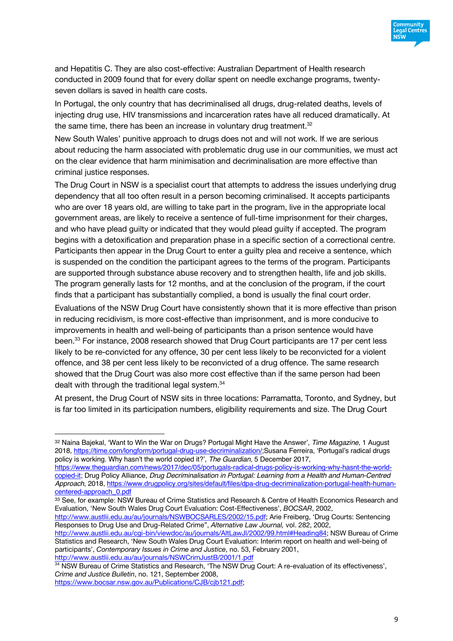

and Hepatitis C. They are also cost-effective: Australian Department of Health research conducted in 2009 found that for every dollar spent on needle exchange programs, twentyseven dollars is saved in health care costs.

In Portugal, the only country that has decriminalised all drugs, drug-related deaths, levels of injecting drug use, HIV transmissions and incarceration rates have all reduced dramatically. At the same time, there has been an increase in voluntary drug treatment. $32$ 

New South Wales' punitive approach to drugs does not and will not work. If we are serious about reducing the harm associated with problematic drug use in our communities, we must act on the clear evidence that harm minimisation and decriminalisation are more effective than criminal justice responses.

The Drug Court in NSW is a specialist court that attempts to address the issues underlying drug dependency that all too often result in a person becoming criminalised. It accepts participants who are over 18 years old, are willing to take part in the program, live in the appropriate local government areas, are likely to receive a sentence of full-time imprisonment for their charges, and who have plead guilty or indicated that they would plead guilty if accepted. The program begins with a detoxification and preparation phase in a specific section of a correctional centre. Participants then appear in the Drug Court to enter a guilty plea and receive a sentence, which is suspended on the condition the participant agrees to the terms of the program. Participants are supported through substance abuse recovery and to strengthen health, life and job skills. The program generally lasts for 12 months, and at the conclusion of the program, if the court finds that a participant has substantially complied, a bond is usually the final court order.

Evaluations of the NSW Drug Court have consistently shown that it is more effective than prison in reducing recidivism, is more cost-effective than imprisonment, and is more conducive to improvements in health and well-being of participants than a prison sentence would have been.<sup>33</sup> For instance, 2008 research showed that Drug Court participants are 17 per cent less likely to be re-convicted for any offence, 30 per cent less likely to be reconvicted for a violent offence, and 38 per cent less likely to be reconvicted of a drug offence. The same research showed that the Drug Court was also more cost effective than if the same person had been dealt with through the traditional legal system.<sup>34</sup>

At present, the Drug Court of NSW sits in three locations: Parramatta, Toronto, and Sydney, but is far too limited in its participation numbers, eligibility requirements and size. The Drug Court

33 See, for example: NSW Bureau of Crime Statistics and Research & Centre of Health Economics Research and Evaluation, 'New South Wales Drug Court Evaluation: Cost-Effectiveness', *BOCSAR*, 2002,

http://www.austlii.edu.au/au/journals/NSWBOCSARLES/2002/15.pdf; Arie Freiberg, 'Drug Courts: Sentencing Responses to Drug Use and Drug-Related Crime", *Alternative Law Journal,* vol. 282, 2002,

http://www.austlii.edu.au/cgi-bin/viewdoc/au/journals/AltLawJl/2002/99.html#Heading84; NSW Bureau of Crime Statistics and Research, 'New South Wales Drug Court Evaluation: Interim report on health and well-being of participants', *Contemporary Issues in Crime and Justice*, no. 53, February 2001, http://www.austlii.edu.au/au/journals/NSWCrimJustB/2001/1.pdf

34 NSW Bureau of Crime Statistics and Research, 'The NSW Drug Court: A re-evaluation of its effectiveness', *Crime and Justice Bulletin*, no. 121, September 2008,

https://www.bocsar.nsw.gov.au/Publications/CJB/cjb121.pdf;

<sup>32</sup> Naina Bajekal, 'Want to Win the War on Drugs? Portugal Might Have the Answer', *Time Magazine*, 1 August 2018, https://time.com/longform/portugal-drug-use-decriminalization/;Susana Ferreira, 'Portugal's radical drugs policy is working. Why hasn't the world copied it?', *The Guardian*, 5 December 2017,

https://www.theguardian.com/news/2017/dec/05/portugals-radical-drugs-policy-is-working-why-hasnt-the-worldcopied-it; Drug Policy Alliance, *Drug Decriminalisation in Portugal: Learning from a Health and Human-Centred Approach*, 2018, https://www.drugpolicy.org/sites/default/files/dpa-drug-decriminalization-portugal-health-humancentered-approach\_0.pdf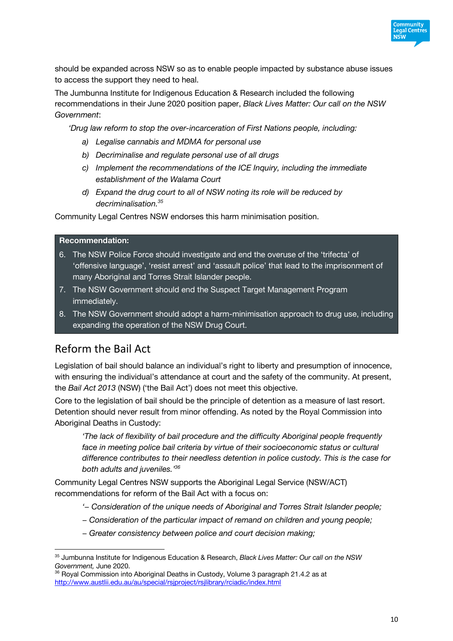

should be expanded across NSW so as to enable people impacted by substance abuse issues to access the support they need to heal.

The Jumbunna Institute for Indigenous Education & Research included the following recommendations in their June 2020 position paper, *Black Lives Matter: Our call on the NSW Government*:

*'Drug law reform to stop the over-incarceration of First Nations people, including:*

- *a) Legalise cannabis and MDMA for personal use*
- *b) Decriminalise and regulate personal use of all drugs*
- *c) Implement the recommendations of the ICE Inquiry, including the immediate establishment of the Walama Court*
- *d) Expand the drug court to all of NSW noting its role will be reduced by decriminalisation.35*

Community Legal Centres NSW endorses this harm minimisation position.

#### **Recommendation:**

- 6. The NSW Police Force should investigate and end the overuse of the 'trifecta' of 'offensive language', 'resist arrest' and 'assault police' that lead to the imprisonment of many Aboriginal and Torres Strait Islander people.
- 7. The NSW Government should end the Suspect Target Management Program immediately.
- 8. The NSW Government should adopt a harm-minimisation approach to drug use, including expanding the operation of the NSW Drug Court.

## Reform the Bail Act

Legislation of bail should balance an individual's right to liberty and presumption of innocence, with ensuring the individual's attendance at court and the safety of the community. At present, the *Bail Act 2013* (NSW) ('the Bail Act') does not meet this objective.

Core to the legislation of bail should be the principle of detention as a measure of last resort. Detention should never result from minor offending. As noted by the Royal Commission into Aboriginal Deaths in Custody:

*'The lack of flexibility of bail procedure and the difficulty Aboriginal people frequently*  face in meeting police bail criteria by virtue of their socioeconomic status or cultural *difference contributes to their needless detention in police custody. This is the case for both adults and juveniles.' 36*

Community Legal Centres NSW supports the Aboriginal Legal Service (NSW/ACT) recommendations for reform of the Bail Act with a focus on:

- *'− Consideration of the unique needs of Aboriginal and Torres Strait Islander people;*
- *− Consideration of the particular impact of remand on children and young people;*
- *− Greater consistency between police and court decision making;*

<sup>35</sup> Jumbunna Institute for Indigenous Education & Research, *Black Lives Matter: Our call on the NSW Government,* June 2020.

<sup>&</sup>lt;sup>36</sup> Royal Commission into Aboriginal Deaths in Custody, Volume 3 paragraph 21.4.2 as at http://www.austlii.edu.au/au/special/rsjproject/rsjlibrary/rciadic/index.html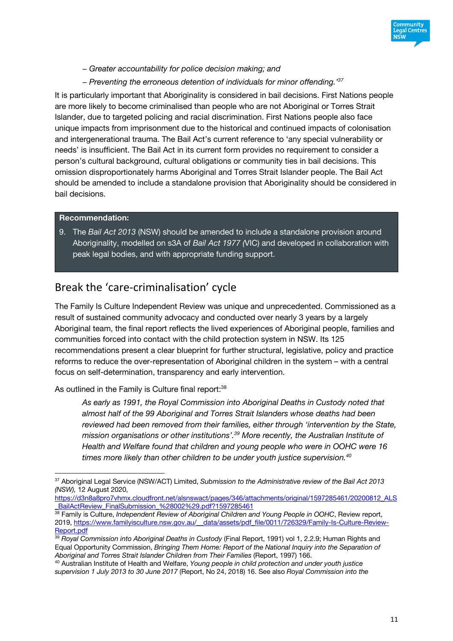

- *− Greater accountability for police decision making; and*
- *− Preventing the erroneous detention of individuals for minor offending.' 37*

It is particularly important that Aboriginality is considered in bail decisions. First Nations people are more likely to become criminalised than people who are not Aboriginal or Torres Strait Islander, due to targeted policing and racial discrimination. First Nations people also face unique impacts from imprisonment due to the historical and continued impacts of colonisation and intergenerational trauma. The Bail Act's current reference to 'any special vulnerability or needs' is insufficient. The Bail Act in its current form provides no requirement to consider a person's cultural background, cultural obligations or community ties in bail decisions. This omission disproportionately harms Aboriginal and Torres Strait Islander people. The Bail Act should be amended to include a standalone provision that Aboriginality should be considered in bail decisions.

#### **Recommendation:**

9. The *Bail Act 2013* (NSW) should be amended to include a standalone provision around Aboriginality, modelled on s3A of *Bail Act 1977 (*VIC) and developed in collaboration with peak legal bodies, and with appropriate funding support.

## Break the 'care-criminalisation' cycle

The Family Is Culture Independent Review was unique and unprecedented. Commissioned as a result of sustained community advocacy and conducted over nearly 3 years by a largely Aboriginal team, the final report reflects the lived experiences of Aboriginal people, families and communities forced into contact with the child protection system in NSW. Its 125 recommendations present a clear blueprint for further structural, legislative, policy and practice reforms to reduce the over-representation of Aboriginal children in the system – with a central focus on self-determination, transparency and early intervention.

As outlined in the Family is Culture final report:<sup>38</sup>

*As early as 1991, the Royal Commission into Aboriginal Deaths in Custody noted that almost half of the 99 Aboriginal and Torres Strait Islanders whose deaths had been reviewed had been removed from their families, either through 'intervention by the State, mission organisations or other institutions'.39 More recently, the Australian Institute of Health and Welfare found that children and young people who were in OOHC were 16 times more likely than other children to be under youth justice supervision.40*

https://d3n8a8pro7vhmx.cloudfront.net/alsnswact/pages/346/attachments/original/1597285461/20200812\_ALS BailActReview\_FinalSubmission\_%28002%29.pdf?1597285461

<sup>37</sup> Aboriginal Legal Service (NSW/ACT) Limited, *Submission to the Administrative review of the Bail Act 2013 (NSW),* 12 August 2020,

<sup>&</sup>lt;sup>38</sup> Family is Culture, *Independent Review of Aboriginal Children and Young People in OOHC*, Review report, 2019, https://www.familyisculture.nsw.gov.au/\_\_data/assets/pdf\_file/0011/726329/Family-Is-Culture-Review-Report.pdf

<sup>39</sup> *Royal Commission into Aboriginal Deaths in Custody* (Final Report, 1991) vol 1, 2.2.9; Human Rights and Equal Opportunity Commission, *Bringing Them Home: Report of the National Inquiry into the Separation of Aboriginal and Torres Strait Islander Children from Their Families* (Report, 1997) 166.

<sup>40</sup> Australian Institute of Health and Welfare, *Young people in child protection and under youth justice supervision 1 July 2013 to 30 June 2017* (Report, No 24, 2018) 16. See also *Royal Commission into the*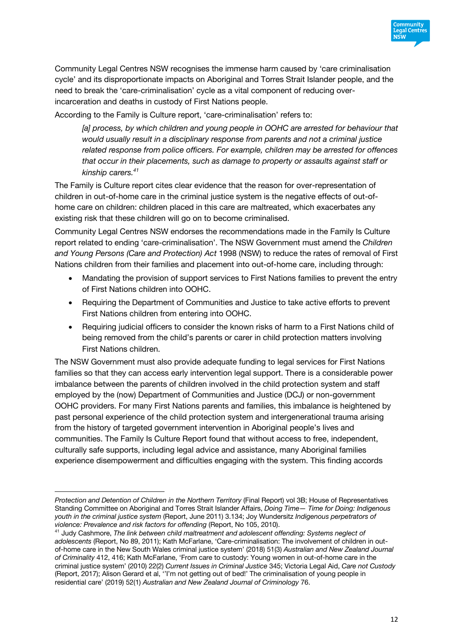

Community Legal Centres NSW recognises the immense harm caused by 'care criminalisation cycle' and its disproportionate impacts on Aboriginal and Torres Strait Islander people, and the need to break the 'care-criminalisation' cycle as a vital component of reducing overincarceration and deaths in custody of First Nations people.

According to the Family is Culture report, 'care-criminalisation' refers to:

*[a] process, by which children and young people in OOHC are arrested for behaviour that would usually result in a disciplinary response from parents and not a criminal justice related response from police officers. For example, children may be arrested for offences that occur in their placements, such as damage to property or assaults against staff or kinship carers.41*

The Family is Culture report cites clear evidence that the reason for over-representation of children in out-of-home care in the criminal justice system is the negative effects of out-ofhome care on children: children placed in this care are maltreated, which exacerbates any existing risk that these children will go on to become criminalised.

Community Legal Centres NSW endorses the recommendations made in the Family Is Culture report related to ending 'care-criminalisation'. The NSW Government must amend the *Children and Young Persons (Care and Protection) Act* 1998 (NSW) to reduce the rates of removal of First Nations children from their families and placement into out-of-home care, including through:

- Mandating the provision of support services to First Nations families to prevent the entry of First Nations children into OOHC.
- Requiring the Department of Communities and Justice to take active efforts to prevent First Nations children from entering into OOHC.
- Requiring judicial officers to consider the known risks of harm to a First Nations child of being removed from the child's parents or carer in child protection matters involving First Nations children.

The NSW Government must also provide adequate funding to legal services for First Nations families so that they can access early intervention legal support. There is a considerable power imbalance between the parents of children involved in the child protection system and staff employed by the (now) Department of Communities and Justice (DCJ) or non-government OOHC providers. For many First Nations parents and families, this imbalance is heightened by past personal experience of the child protection system and intergenerational trauma arising from the history of targeted government intervention in Aboriginal people's lives and communities. The Family Is Culture Report found that without access to free, independent, culturally safe supports, including legal advice and assistance, many Aboriginal families experience disempowerment and difficulties engaging with the system. This finding accords

*Protection and Detention of Children in the Northern Territory* (Final Report) vol 3B; House of Representatives Standing Committee on Aboriginal and Torres Strait Islander Affairs, *Doing Time— Time for Doing: Indigenous youth in the criminal justice system* (Report, June 2011) 3.134; Joy Wundersitz *Indigenous perpetrators of violence: Prevalence and risk factors for offending* (Report, No 105, 2010).

<sup>41</sup> Judy Cashmore, *The link between child maltreatment and adolescent offending: Systems neglect of adolescents* (Report, No 89, 2011); Kath McFarlane, 'Care-criminalisation: The involvement of children in outof-home care in the New South Wales criminal justice system' (2018) 51(3) *Australian and New Zealand Journal of Criminality* 412, 416; Kath McFarlane, 'From care to custody: Young women in out-of-home care in the criminal justice system' (2010) 22(2) *Current Issues in Criminal Justice* 345; Victoria Legal Aid, *Care not Custody* (Report, 2017); Alison Gerard et al, ''I'm not getting out of bed!' The criminalisation of young people in residential care' (2019) 52(1) *Australian and New Zealand Journal of Criminology* 76.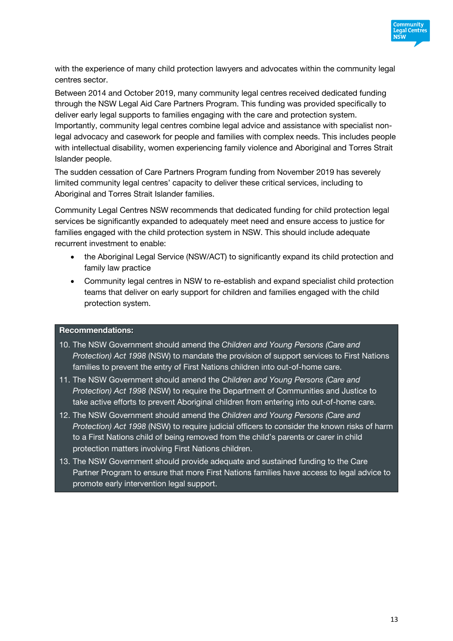

with the experience of many child protection lawyers and advocates within the community legal centres sector.

Between 2014 and October 2019, many community legal centres received dedicated funding through the NSW Legal Aid Care Partners Program. This funding was provided specifically to deliver early legal supports to families engaging with the care and protection system. Importantly, community legal centres combine legal advice and assistance with specialist nonlegal advocacy and casework for people and families with complex needs. This includes people with intellectual disability, women experiencing family violence and Aboriginal and Torres Strait Islander people.

The sudden cessation of Care Partners Program funding from November 2019 has severely limited community legal centres' capacity to deliver these critical services, including to Aboriginal and Torres Strait Islander families.

Community Legal Centres NSW recommends that dedicated funding for child protection legal services be significantly expanded to adequately meet need and ensure access to justice for families engaged with the child protection system in NSW. This should include adequate recurrent investment to enable:

- the Aboriginal Legal Service (NSW/ACT) to significantly expand its child protection and family law practice
- Community legal centres in NSW to re-establish and expand specialist child protection teams that deliver on early support for children and families engaged with the child protection system.

### **Recommendations:**

- 10. The NSW Government should amend the *Children and Young Persons (Care and Protection) Act 1998* (NSW) to mandate the provision of support services to First Nations families to prevent the entry of First Nations children into out-of-home care.
- 11. The NSW Government should amend the *Children and Young Persons (Care and Protection) Act 1998* (NSW) to require the Department of Communities and Justice to take active efforts to prevent Aboriginal children from entering into out-of-home care.
- 12. The NSW Government should amend the *Children and Young Persons (Care and Protection) Act 1998* (NSW) to require judicial officers to consider the known risks of harm to a First Nations child of being removed from the child's parents or carer in child protection matters involving First Nations children.
- 13. The NSW Government should provide adequate and sustained funding to the Care Partner Program to ensure that more First Nations families have access to legal advice to promote early intervention legal support.